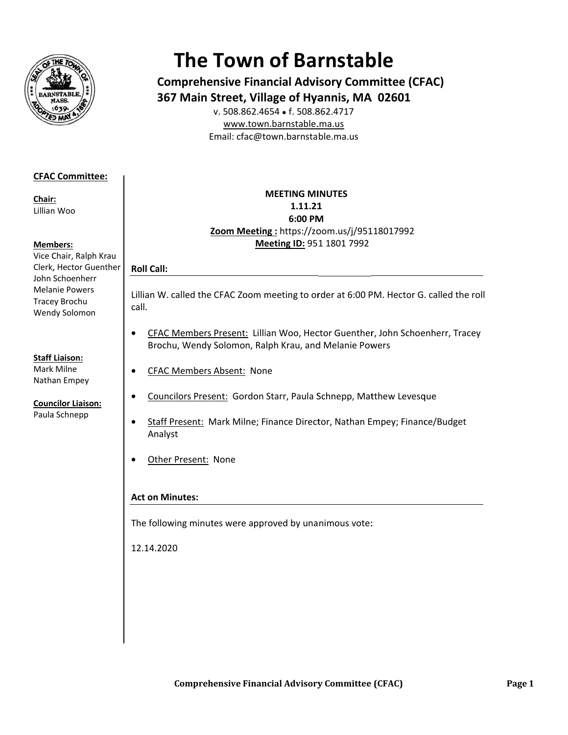

# **The Town of Barnstable**

**Comprehensive Financial Advisory Committee (CFAC)** 367 Main Street, Village of Hyannis, MA 02601

v. 508.862.4654 • f. 508.862.4717 www.town.barnstable.ma.us Email: cfac@town.barnstable.ma.us

# **CFAC Committee:**

Chair: Lillian Woo

## **Members:**

Vice Chair, Ralph Krau Clerk, Hector Guenther John Schoenherr **Melanie Powers** Tracey Brochu Wendy Solomon

# **Staff Liaison:**

Mark Milne Nathan Empey

#### **Councilor Liaison:** Paula Schnepp

# **MEETING MINUTES** 1.11.21 6:00 PM Zoom Meeting: https://zoom.us/j/95118017992 Meeting ID: 951 1801 7992

Lillian W. called the CFAC Zoom meeting to order at 6:00 PM. Hector G. called the roll call.

- CFAC Members Present: Lillian Woo, Hector Guenther, John Schoenherr, Tracey  $\bullet$ Brochu, Wendy Solomon, Ralph Krau, and Melanie Powers
- **CFAC Members Absent: None**  $\bullet$
- $\bullet$ Councilors Present: Gordon Starr, Paula Schnepp, Matthew Levesque
- Staff Present: Mark Milne; Finance Director, Nathan Empey; Finance/Budget  $\bullet$ Analyst
- Other Present: None  $\bullet$

# **Act on Minutes:**

**Roll Call:** 

The following minutes were approved by unanimous vote:

12.14.2020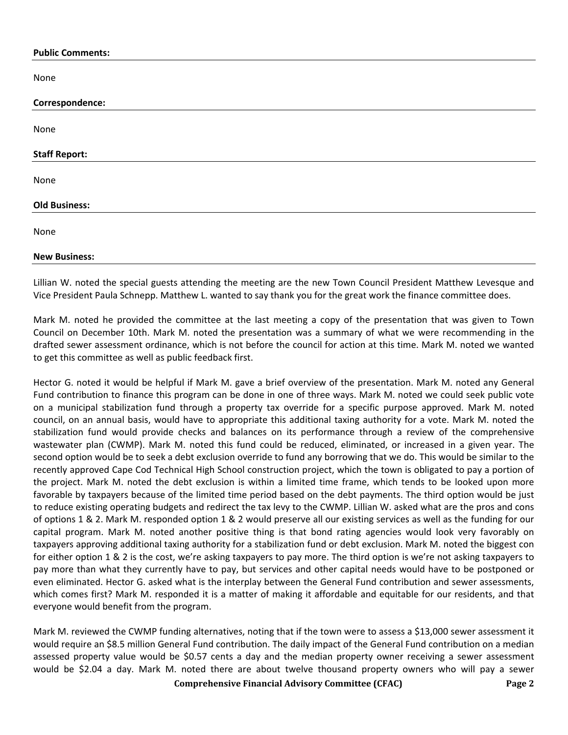#### **Public Comments:**

| None                 |  |  |
|----------------------|--|--|
| Correspondence:      |  |  |
| None                 |  |  |
| <b>Staff Report:</b> |  |  |
| None                 |  |  |
| <b>Old Business:</b> |  |  |
| None                 |  |  |
| <b>New Business:</b> |  |  |

Lillian W. noted the special guests attending the meeting are the new Town Council President Matthew Levesque and Vice President Paula Schnepp. Matthew L. wanted to say thank you for the great work the finance committee does.

Mark M. noted he provided the committee at the last meeting a copy of the presentation that was given to Town Council on December 10th. Mark M. noted the presentation was a summary of what we were recommending in the drafted sewer assessment ordinance, which is not before the council for action at this time. Mark M. noted we wanted to get this committee as well as public feedback first.

Hector G. noted it would be helpful if Mark M. gave a brief overview of the presentation. Mark M. noted any General Fund contribution to finance this program can be done in one of three ways. Mark M. noted we could seek public vote on a municipal stabilization fund through a property tax override for a specific purpose approved. Mark M. noted council, on an annual basis, would have to appropriate this additional taxing authority for a vote. Mark M. noted the stabilization fund would provide checks and balances on its performance through a review of the comprehensive wastewater plan (CWMP). Mark M. noted this fund could be reduced, eliminated, or increased in a given year. The second option would be to seek a debt exclusion override to fund any borrowing that we do. This would be similar to the recently approved Cape Cod Technical High School construction project, which the town is obligated to pay a portion of the project. Mark M. noted the debt exclusion is within a limited time frame, which tends to be looked upon more favorable by taxpayers because of the limited time period based on the debt payments. The third option would be just to reduce existing operating budgets and redirect the tax levy to the CWMP. Lillian W. asked what are the pros and cons of options 1 & 2. Mark M. responded option 1 & 2 would preserve all our existing services as well as the funding for our capital program. Mark M. noted another positive thing is that bond rating agencies would look very favorably on taxpayers approving additional taxing authority for a stabilization fund or debt exclusion. Mark M. noted the biggest con for either option 1 & 2 is the cost, we're asking taxpayers to pay more. The third option is we're not asking taxpayers to pay more than what they currently have to pay, but services and other capital needs would have to be postponed or even eliminated. Hector G. asked what is the interplay between the General Fund contribution and sewer assessments, which comes first? Mark M. responded it is a matter of making it affordable and equitable for our residents, and that everyone would benefit from the program.

Mark M. reviewed the CWMP funding alternatives, noting that if the town were to assess a \$13,000 sewer assessment it would require an \$8.5 million General Fund contribution. The daily impact of the General Fund contribution on a median assessed property value would be \$0.57 cents a day and the median property owner receiving a sewer assessment would be \$2.04 a day. Mark M. noted there are about twelve thousand property owners who will pay a sewer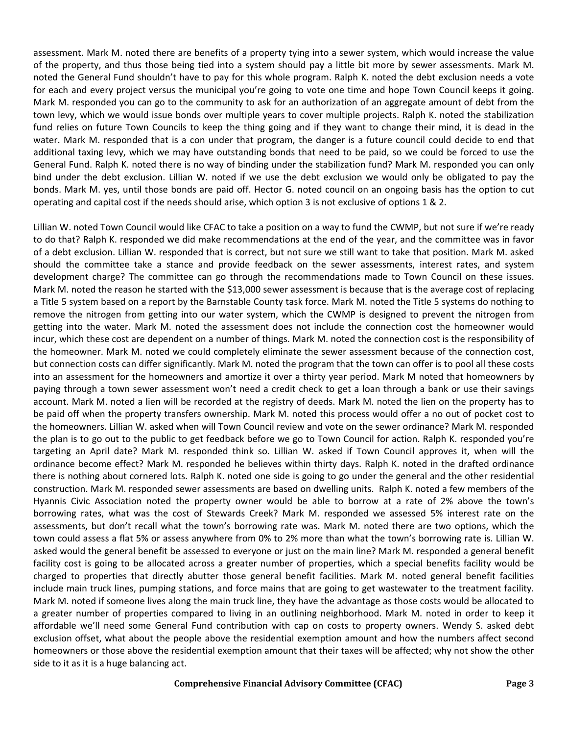assessment. Mark M. noted there are benefits of a property tying into a sewer system, which would increase the value of the property, and thus those being tied into a system should pay a little bit more by sewer assessments. Mark M. noted the General Fund shouldn't have to pay for this whole program. Ralph K. noted the debt exclusion needs a vote for each and every project versus the municipal you're going to vote one time and hope Town Council keeps it going. Mark M. responded you can go to the community to ask for an authorization of an aggregate amount of debt from the town levy, which we would issue bonds over multiple years to cover multiple projects. Ralph K. noted the stabilization fund relies on future Town Councils to keep the thing going and if they want to change their mind, it is dead in the water. Mark M. responded that is a con under that program, the danger is a future council could decide to end that additional taxing levy, which we may have outstanding bonds that need to be paid, so we could be forced to use the General Fund. Ralph K. noted there is no way of binding under the stabilization fund? Mark M. responded you can only bind under the debt exclusion. Lillian W. noted if we use the debt exclusion we would only be obligated to pay the bonds. Mark M. yes, until those bonds are paid off. Hector G. noted council on an ongoing basis has the option to cut operating and capital cost if the needs should arise, which option 3 is not exclusive of options 1 & 2.

Lillian W. noted Town Council would like CFAC to take a position on a way to fund the CWMP, but not sure if we're ready to do that? Ralph K. responded we did make recommendations at the end of the year, and the committee was in favor of a debt exclusion. Lillian W. responded that is correct, but not sure we still want to take that position. Mark M. asked should the committee take a stance and provide feedback on the sewer assessments, interest rates, and system development charge? The committee can go through the recommendations made to Town Council on these issues. Mark M. noted the reason he started with the \$13,000 sewer assessment is because that is the average cost of replacing a Title 5 system based on a report by the Barnstable County task force. Mark M. noted the Title 5 systems do nothing to remove the nitrogen from getting into our water system, which the CWMP is designed to prevent the nitrogen from getting into the water. Mark M. noted the assessment does not include the connection cost the homeowner would incur, which these cost are dependent on a number of things. Mark M. noted the connection cost is the responsibility of the homeowner. Mark M. noted we could completely eliminate the sewer assessment because of the connection cost, but connection costs can differ significantly. Mark M. noted the program that the town can offer is to pool all these costs into an assessment for the homeowners and amortize it over a thirty year period. Mark M noted that homeowners by paying through a town sewer assessment won't need a credit check to get a loan through a bank or use their savings account. Mark M. noted a lien will be recorded at the registry of deeds. Mark M. noted the lien on the property has to be paid off when the property transfers ownership. Mark M. noted this process would offer a no out of pocket cost to the homeowners. Lillian W. asked when will Town Council review and vote on the sewer ordinance? Mark M. responded the plan is to go out to the public to get feedback before we go to Town Council for action. Ralph K. responded you're targeting an April date? Mark M. responded think so. Lillian W. asked if Town Council approves it, when will the ordinance become effect? Mark M. responded he believes within thirty days. Ralph K. noted in the drafted ordinance there is nothing about cornered lots. Ralph K. noted one side is going to go under the general and the other residential construction. Mark M. responded sewer assessments are based on dwelling units. Ralph K. noted a few members of the Hyannis Civic Association noted the property owner would be able to borrow at a rate of 2% above the town's borrowing rates, what was the cost of Stewards Creek? Mark M. responded we assessed 5% interest rate on the assessments, but don't recall what the town's borrowing rate was. Mark M. noted there are two options, which the town could assess a flat 5% or assess anywhere from 0% to 2% more than what the town's borrowing rate is. Lillian W. asked would the general benefit be assessed to everyone or just on the main line? Mark M. responded a general benefit facility cost is going to be allocated across a greater number of properties, which a special benefits facility would be charged to properties that directly abutter those general benefit facilities. Mark M. noted general benefit facilities include main truck lines, pumping stations, and force mains that are going to get wastewater to the treatment facility. Mark M. noted if someone lives along the main truck line, they have the advantage as those costs would be allocated to a greater number of properties compared to living in an outlining neighborhood. Mark M. noted in order to keep it affordable we'll need some General Fund contribution with cap on costs to property owners. Wendy S. asked debt exclusion offset, what about the people above the residential exemption amount and how the numbers affect second homeowners or those above the residential exemption amount that their taxes will be affected; why not show the other side to it as it is a huge balancing act.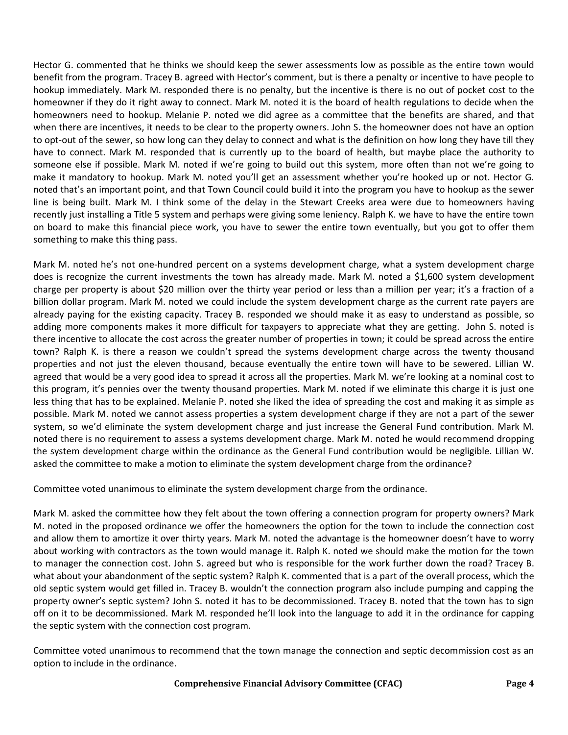Hector G. commented that he thinks we should keep the sewer assessments low as possible as the entire town would benefit from the program. Tracey B. agreed with Hector's comment, but is there a penalty or incentive to have people to hookup immediately. Mark M. responded there is no penalty, but the incentive is there is no out of pocket cost to the homeowner if they do it right away to connect. Mark M. noted it is the board of health regulations to decide when the homeowners need to hookup. Melanie P. noted we did agree as a committee that the benefits are shared, and that when there are incentives, it needs to be clear to the property owners. John S. the homeowner does not have an option to opt-out of the sewer, so how long can they delay to connect and what is the definition on how long they have till they have to connect. Mark M. responded that is currently up to the board of health, but maybe place the authority to someone else if possible. Mark M. noted if we're going to build out this system, more often than not we're going to make it mandatory to hookup. Mark M. noted you'll get an assessment whether you're hooked up or not. Hector G. noted that's an important point, and that Town Council could build it into the program you have to hookup as the sewer line is being built. Mark M. I think some of the delay in the Stewart Creeks area were due to homeowners having recently just installing a Title 5 system and perhaps were giving some leniency. Ralph K. we have to have the entire town on board to make this financial piece work, you have to sewer the entire town eventually, but you got to offer them something to make this thing pass.

Mark M. noted he's not one-hundred percent on a systems development charge, what a system development charge does is recognize the current investments the town has already made. Mark M. noted a \$1,600 system development charge per property is about \$20 million over the thirty year period or less than a million per year; it's a fraction of a billion dollar program. Mark M. noted we could include the system development charge as the current rate payers are already paying for the existing capacity. Tracey B. responded we should make it as easy to understand as possible, so adding more components makes it more difficult for taxpayers to appreciate what they are getting. John S. noted is there incentive to allocate the cost across the greater number of properties in town; it could be spread across the entire town? Ralph K. is there a reason we couldn't spread the systems development charge across the twenty thousand properties and not just the eleven thousand, because eventually the entire town will have to be sewered. Lillian W. agreed that would be a very good idea to spread it across all the properties. Mark M. we're looking at a nominal cost to this program, it's pennies over the twenty thousand properties. Mark M. noted if we eliminate this charge it is just one less thing that has to be explained. Melanie P. noted she liked the idea of spreading the cost and making it as simple as possible. Mark M. noted we cannot assess properties a system development charge if they are not a part of the sewer system, so we'd eliminate the system development charge and just increase the General Fund contribution. Mark M. noted there is no requirement to assess a systems development charge. Mark M. noted he would recommend dropping the system development charge within the ordinance as the General Fund contribution would be negligible. Lillian W. asked the committee to make a motion to eliminate the system development charge from the ordinance?

Committee voted unanimous to eliminate the system development charge from the ordinance.

Mark M. asked the committee how they felt about the town offering a connection program for property owners? Mark M. noted in the proposed ordinance we offer the homeowners the option for the town to include the connection cost and allow them to amortize it over thirty years. Mark M. noted the advantage is the homeowner doesn't have to worry about working with contractors as the town would manage it. Ralph K. noted we should make the motion for the town to manager the connection cost. John S. agreed but who is responsible for the work further down the road? Tracey B. what about your abandonment of the septic system? Ralph K. commented that is a part of the overall process, which the old septic system would get filled in. Tracey B. wouldn't the connection program also include pumping and capping the property owner's septic system? John S. noted it has to be decommissioned. Tracey B. noted that the town has to sign off on it to be decommissioned. Mark M. responded he'll look into the language to add it in the ordinance for capping the septic system with the connection cost program.

Committee voted unanimous to recommend that the town manage the connection and septic decommission cost as an option to include in the ordinance.